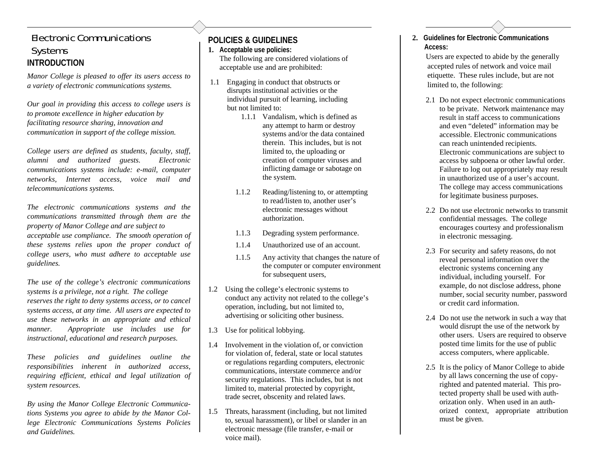## Electronic Communications Systems **INTRODUCTION**

*Manor College is pleased to offer its users access to a variety of electronic communications systems.* 

*Our goal in providing this access to college users is to promote excellence in higher education by facilitating resource sharing, innovation and communication in support of the college mission.* 

*College users are defined as students, faculty, staff, alumni and authorized guests. Electronic communications systems include: e-mail, computer networks, Internet access, voice mail and telecommunications systems.* 

*The electronic communications systems and the communications transmitted through them are the property of Manor College and are subject to acceptable use compliance. The smooth operation of these systems relies upon the proper conduct of college users, who must adhere to acceptable use guidelines.* 

```
The use of the college's electronic communications 
systems is a privilege, not a right. The college 
reserves the right to deny systems access, or to cancel 
systems access, at any time. All users are expected to 
use these networks in an appropriate and ethical 
manner. Appropriate use includes use for 
instructional, educational and research purposes.
```
*These policies and guidelines outline the responsibilities inherent in authorized access, requiring efficient, ethical and legal utilization of system resources.* 

*By using the Manor College Electronic Communications Systems you agree to abide by the Manor College Electronic Communications Systems Policies and Guidelines.* 

## **POLICIES & GUIDELINES**

**1. Acceptable use policies:** The following are considered violations of acceptable use and are prohibited:

- 1.1 Engaging in conduct that obstructs or disrupts institutional activities or the individual pursuit of learning, including but not limited to:
	- 1.1.1 Vandalism, which is defined as any attempt to harm or destroy systems and/or the data contained therein. This includes, but is not limited to, the uploading or creation of computer viruses and inflicting damage or sabotage on the system.
	- 1.1.2 Reading/listening to, or attempting to read/listen to, another user's electronic messages without authorization.
	- 1.1.3 Degrading system performance.
	- 1.1.4 Unauthorized use of an account.
	- 1.1.5 Any activity that changes the nature of the computer or computer environment for subsequent users.
- 1.2 Using the college's electronic systems to conduct any activity not related to the college's operation, including, but not limited to, advertising or soliciting other business.
- 1.3 Use for political lobbying.
- 1.4 Involvement in the violation of, or conviction for violation of, federal, state or local statutes or regulations regarding computers, electronic communications, interstate commerce and/or security regulations. This includes, but is not limited to, material protected by copyright, trade secret, obscenity and related laws.
- 1.5 Threats, harassment (including, but not limited to, sexual harassment), or libel or slander in an electronic message (file transfer, e-mail or voice mail).

**2. Guidelines for Electronic Communications Access:** 

 Users are expected to abide by the generally accepted rules of network and voice mail etiquette. These rules include, but are not limited to, the following:

- 2.1 Do not expect electronic communications to be private. Network maintenance may result in staff access to communications and even "deleted" information may be accessible. Electronic communications can reach unintended recipients. Electronic communications are subject to access by subpoena or other lawful order. Failure to log out appropriately may result in unauthorized use of a user's account. The college may access communications for legitimate business purposes.
	- 2.2 Do not use electronic networks to transmit confidential messages. The college encourages courtesy and professionalism in electronic messaging.
	- 2.3 For security and safety reasons, do not reveal personal information over the electronic systems concerning any individual, including yourself. For example, do not disclose address, phone number, social security number, password or credit card information.
	- 2.4 Do not use the network in such a way that would disrupt the use of the network by other users. Users are required to observe posted time limits for the use of public access computers, where applicable.
	- 2.5 It is the policy of Manor College to abide by all laws concerning the use of copy righted and patented material. This pro tected property shall be used with auth orization only. When used in an auth orized context, appropriate attribution must be given.